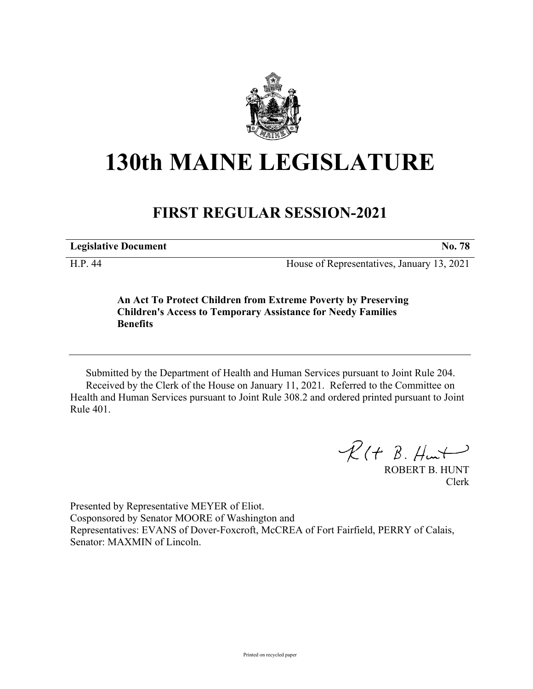

## **130th MAINE LEGISLATURE**

## **FIRST REGULAR SESSION-2021**

**Legislative Document No. 78**

H.P. 44 House of Representatives, January 13, 2021

**An Act To Protect Children from Extreme Poverty by Preserving Children's Access to Temporary Assistance for Needy Families Benefits**

Submitted by the Department of Health and Human Services pursuant to Joint Rule 204. Received by the Clerk of the House on January 11, 2021. Referred to the Committee on Health and Human Services pursuant to Joint Rule 308.2 and ordered printed pursuant to Joint Rule 401.

 $R$ (†  $B.$  Hunt

ROBERT B. HUNT Clerk

Presented by Representative MEYER of Eliot. Cosponsored by Senator MOORE of Washington and Representatives: EVANS of Dover-Foxcroft, McCREA of Fort Fairfield, PERRY of Calais, Senator: MAXMIN of Lincoln.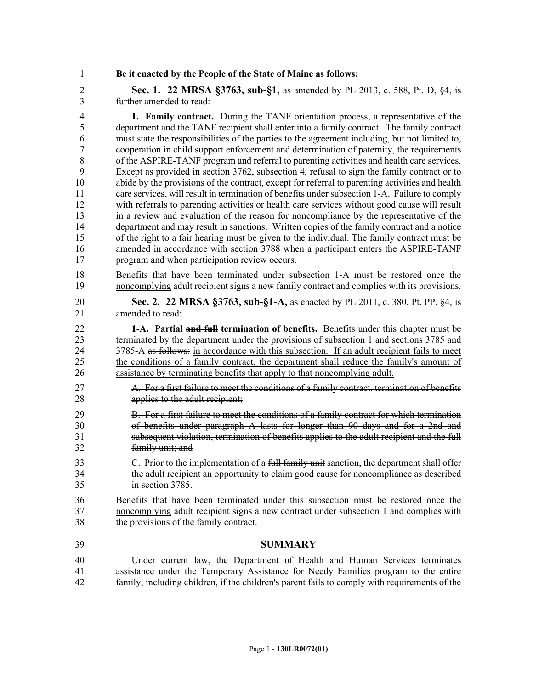1 **Be it enacted by the People of the State of Maine as follows:**

2 **Sec. 1. 22 MRSA §3763, sub-§1,** as amended by PL 2013, c. 588, Pt. D, §4, is 3 further amended to read:

4 **1. Family contract.** During the TANF orientation process, a representative of the 5 department and the TANF recipient shall enter into a family contract. The family contract 6 must state the responsibilities of the parties to the agreement including, but not limited to, 7 cooperation in child support enforcement and determination of paternity, the requirements 8 of the ASPIRE-TANF program and referral to parenting activities and health care services. 9 Except as provided in section 3762, subsection 4, refusal to sign the family contract or to 10 abide by the provisions of the contract, except for referral to parenting activities and health 11 care services, will result in termination of benefits under subsection 1-A. Failure to comply 12 with referrals to parenting activities or health care services without good cause will result 13 in a review and evaluation of the reason for noncompliance by the representative of the 14 department and may result in sanctions. Written copies of the family contract and a notice 15 of the right to a fair hearing must be given to the individual. The family contract must be 16 amended in accordance with section 3788 when a participant enters the ASPIRE-TANF 17 program and when participation review occurs.

- 18 Benefits that have been terminated under subsection 1-A must be restored once the 19 noncomplying adult recipient signs a new family contract and complies with its provisions.
- 20 **Sec. 2. 22 MRSA §3763, sub-§1-A,** as enacted by PL 2011, c. 380, Pt. PP, §4, is 21 amended to read:

22 **1-A. Partial and full termination of benefits.** Benefits under this chapter must be 23 terminated by the department under the provisions of subsection 1 and sections 3785 and 24 3785-A as follows: in accordance with this subsection. If an adult recipient fails to meet 25 the conditions of a family contract, the department shall reduce the family's amount of 26 assistance by terminating benefits that apply to that noncomplying adult.

- 27 A. For a first failure to meet the conditions of a family contract, termination of benefits 28 **applies to the adult recipient;**
- 29 B. For a first failure to meet the conditions of a family contract for which termination 30 of benefits under paragraph A lasts for longer than 90 days and for a 2nd and 31 subsequent violation, termination of benefits applies to the adult recipient and the full 32 family unit; and
- 33 C. Prior to the implementation of a full family unit sanction, the department shall offer 34 the adult recipient an opportunity to claim good cause for noncompliance as described 35 in section 3785.
- 36 Benefits that have been terminated under this subsection must be restored once the 37 noncomplying adult recipient signs a new contract under subsection 1 and complies with 38 the provisions of the family contract.
- 39 **SUMMARY**
- 40 Under current law, the Department of Health and Human Services terminates 41 assistance under the Temporary Assistance for Needy Families program to the entire 42 family, including children, if the children's parent fails to comply with requirements of the